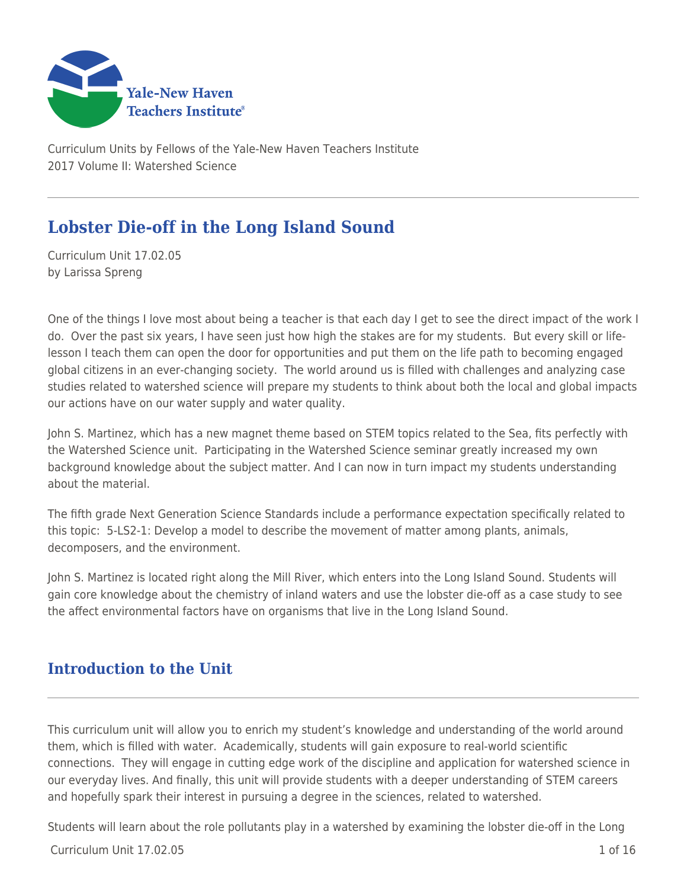

Curriculum Units by Fellows of the Yale-New Haven Teachers Institute 2017 Volume II: Watershed Science

# **Lobster Die-off in the Long Island Sound**

Curriculum Unit 17.02.05 by Larissa Spreng

One of the things I love most about being a teacher is that each day I get to see the direct impact of the work I do. Over the past six years, I have seen just how high the stakes are for my students. But every skill or lifelesson I teach them can open the door for opportunities and put them on the life path to becoming engaged global citizens in an ever-changing society. The world around us is filled with challenges and analyzing case studies related to watershed science will prepare my students to think about both the local and global impacts our actions have on our water supply and water quality.

John S. Martinez, which has a new magnet theme based on STEM topics related to the Sea, fits perfectly with the Watershed Science unit. Participating in the Watershed Science seminar greatly increased my own background knowledge about the subject matter. And I can now in turn impact my students understanding about the material.

The fifth grade Next Generation Science Standards include a performance expectation specifically related to this topic: 5-LS2-1: Develop a model to describe the movement of matter among plants, animals, decomposers, and the environment.

John S. Martinez is located right along the Mill River, which enters into the Long Island Sound. Students will gain core knowledge about the chemistry of inland waters and use the lobster die-off as a case study to see the affect environmental factors have on organisms that live in the Long Island Sound.

# **Introduction to the Unit**

This curriculum unit will allow you to enrich my student's knowledge and understanding of the world around them, which is filled with water. Academically, students will gain exposure to real-world scientific connections. They will engage in cutting edge work of the discipline and application for watershed science in our everyday lives. And finally, this unit will provide students with a deeper understanding of STEM careers and hopefully spark their interest in pursuing a degree in the sciences, related to watershed.

Students will learn about the role pollutants play in a watershed by examining the lobster die-off in the Long

 $C$ urriculum Unit  $17.02.05$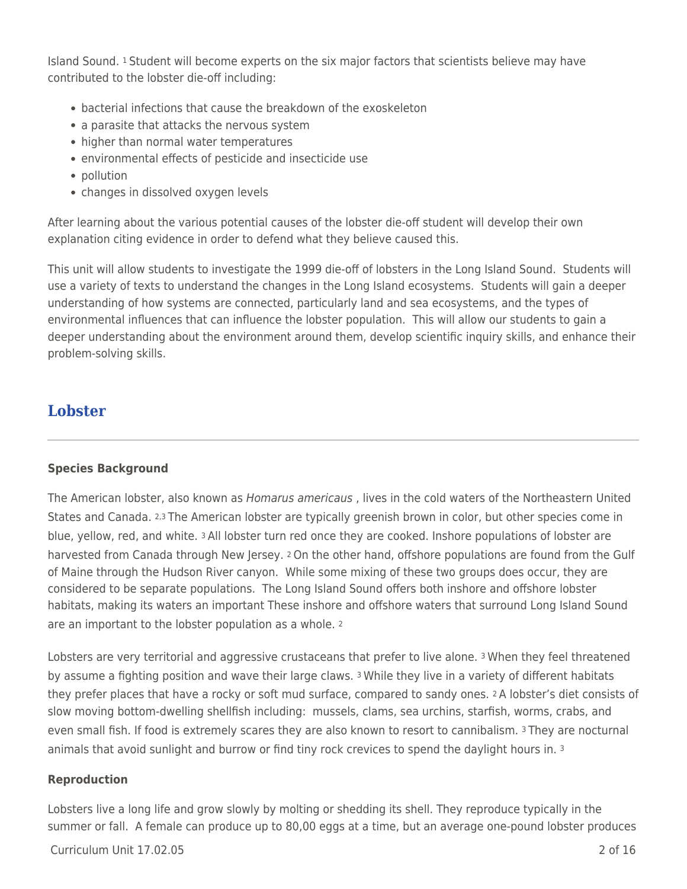Island Sound. 1 Student will become experts on the six major factors that scientists believe may have contributed to the lobster die-off including:

- bacterial infections that cause the breakdown of the exoskeleton
- a parasite that attacks the nervous system
- higher than normal water temperatures
- environmental effects of pesticide and insecticide use
- pollution
- changes in dissolved oxygen levels

After learning about the various potential causes of the lobster die-off student will develop their own explanation citing evidence in order to defend what they believe caused this.

This unit will allow students to investigate the 1999 die-off of lobsters in the Long Island Sound. Students will use a variety of texts to understand the changes in the Long Island ecosystems. Students will gain a deeper understanding of how systems are connected, particularly land and sea ecosystems, and the types of environmental influences that can influence the lobster population. This will allow our students to gain a deeper understanding about the environment around them, develop scientific inquiry skills, and enhance their problem-solving skills.

## **Lobster**

#### **Species Background**

The American lobster, also known as *Homarus americaus*, lives in the cold waters of the Northeastern United States and Canada. 2,3 The American lobster are typically greenish brown in color, but other species come in blue, yellow, red, and white. 3 All lobster turn red once they are cooked. Inshore populations of lobster are harvested from Canada through New Jersey. 2 On the other hand, offshore populations are found from the Gulf of Maine through the Hudson River canyon. While some mixing of these two groups does occur, they are considered to be separate populations. The Long Island Sound offers both inshore and offshore lobster habitats, making its waters an important These inshore and offshore waters that surround Long Island Sound are an important to the lobster population as a whole. <sup>2</sup>

Lobsters are very territorial and aggressive crustaceans that prefer to live alone. 3 When they feel threatened by assume a fighting position and wave their large claws. 3 While they live in a variety of different habitats they prefer places that have a rocky or soft mud surface, compared to sandy ones. 2 A lobster's diet consists of slow moving bottom-dwelling shellfish including: mussels, clams, sea urchins, starfish, worms, crabs, and even small fish. If food is extremely scares they are also known to resort to cannibalism. 3 They are nocturnal animals that avoid sunlight and burrow or find tiny rock crevices to spend the daylight hours in. <sup>3</sup>

#### **Reproduction**

Lobsters live a long life and grow slowly by molting or shedding its shell. They reproduce typically in the summer or fall. A female can produce up to 80,00 eggs at a time, but an average one-pound lobster produces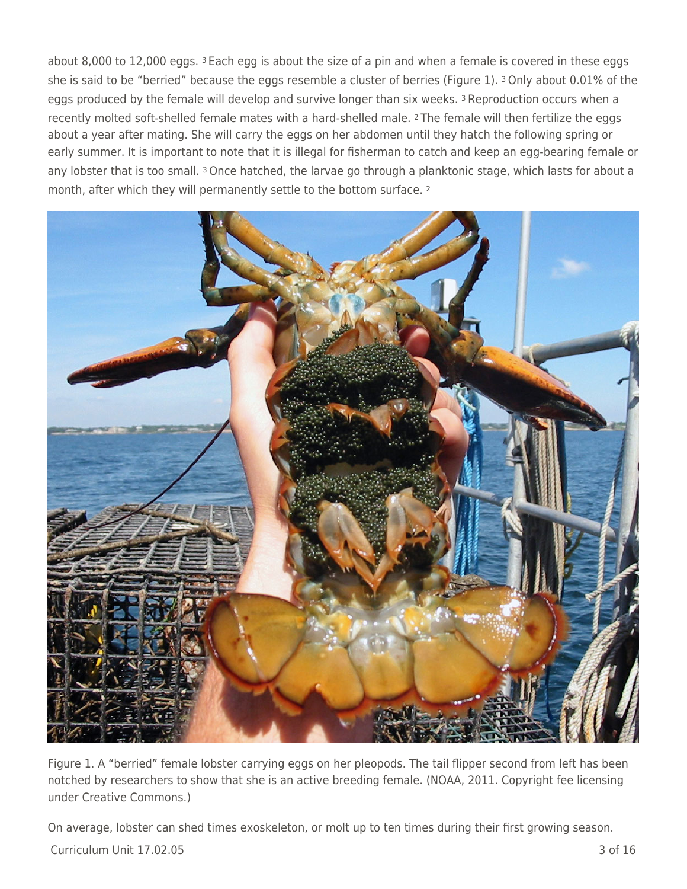about 8,000 to 12,000 eggs. <sup>3</sup> Each egg is about the size of a pin and when a female is covered in these eggs she is said to be "berried" because the eggs resemble a cluster of berries (Figure 1). 3 Only about 0.01% of the eggs produced by the female will develop and survive longer than six weeks. 3 Reproduction occurs when a recently molted soft-shelled female mates with a hard-shelled male. 2 The female will then fertilize the eggs about a year after mating. She will carry the eggs on her abdomen until they hatch the following spring or early summer. It is important to note that it is illegal for fisherman to catch and keep an egg-bearing female or any lobster that is too small. 3 Once hatched, the larvae go through a planktonic stage, which lasts for about a month, after which they will permanently settle to the bottom surface. <sup>2</sup>



Figure 1. A "berried" female lobster carrying eggs on her pleopods. The tail flipper second from left has been notched by researchers to show that she is an active breeding female. (NOAA, 2011. Copyright fee licensing under Creative Commons.)

On average, lobster can shed times exoskeleton, or molt up to ten times during their first growing season.

Curriculum Unit 17.02.05 3 of 16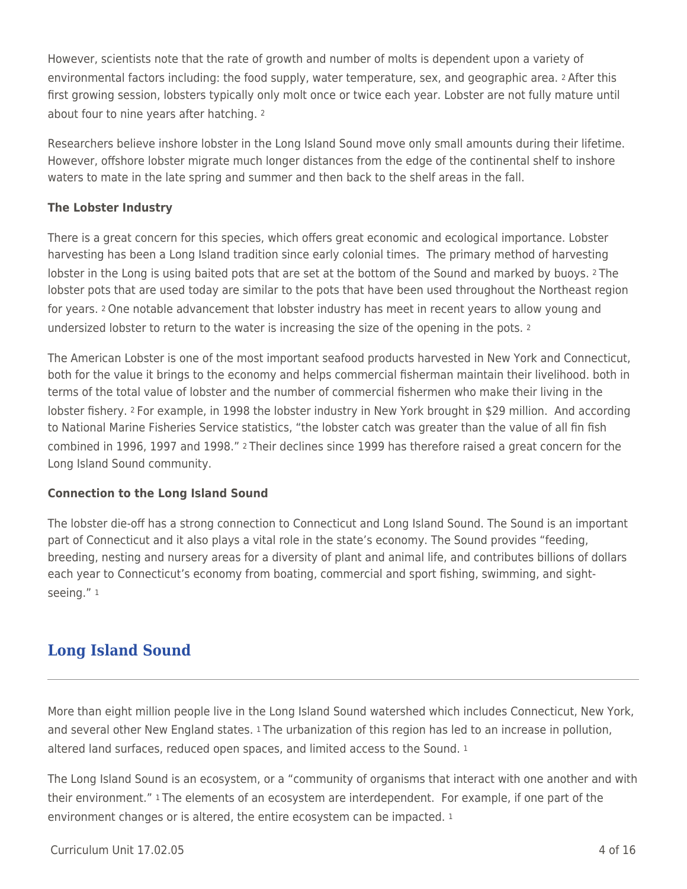However, scientists note that the rate of growth and number of molts is dependent upon a variety of environmental factors including: the food supply, water temperature, sex, and geographic area. 2 After this first growing session, lobsters typically only molt once or twice each year. Lobster are not fully mature until about four to nine years after hatching. <sup>2</sup>

Researchers believe inshore lobster in the Long Island Sound move only small amounts during their lifetime. However, offshore lobster migrate much longer distances from the edge of the continental shelf to inshore waters to mate in the late spring and summer and then back to the shelf areas in the fall.

### **The Lobster Industry**

There is a great concern for this species, which offers great economic and ecological importance. Lobster harvesting has been a Long Island tradition since early colonial times. The primary method of harvesting lobster in the Long is using baited pots that are set at the bottom of the Sound and marked by buoys. 2 The lobster pots that are used today are similar to the pots that have been used throughout the Northeast region for years. 2 One notable advancement that lobster industry has meet in recent years to allow young and undersized lobster to return to the water is increasing the size of the opening in the pots. <sup>2</sup>

The American Lobster is one of the most important seafood products harvested in New York and Connecticut, both for the value it brings to the economy and helps commercial fisherman maintain their livelihood. both in terms of the total value of lobster and the number of commercial fishermen who make their living in the lobster fishery. 2 For example, in 1998 the lobster industry in New York brought in \$29 million. And according to National Marine Fisheries Service statistics, "the lobster catch was greater than the value of all fin fish combined in 1996, 1997 and 1998." 2 Their declines since 1999 has therefore raised a great concern for the Long Island Sound community.

### **Connection to the Long Island Sound**

The lobster die-off has a strong connection to Connecticut and Long Island Sound. The Sound is an important part of Connecticut and it also plays a vital role in the state's economy. The Sound provides "feeding, breeding, nesting and nursery areas for a diversity of plant and animal life, and contributes billions of dollars each year to Connecticut's economy from boating, commercial and sport fishing, swimming, and sightseeing." <sup>1</sup>

# **Long Island Sound**

More than eight million people live in the Long Island Sound watershed which includes Connecticut, New York, and several other New England states. 1 The urbanization of this region has led to an increase in pollution, altered land surfaces, reduced open spaces, and limited access to the Sound. <sup>1</sup>

The Long Island Sound is an ecosystem, or a "community of organisms that interact with one another and with their environment." 1 The elements of an ecosystem are interdependent. For example, if one part of the environment changes or is altered, the entire ecosystem can be impacted.<sup>1</sup>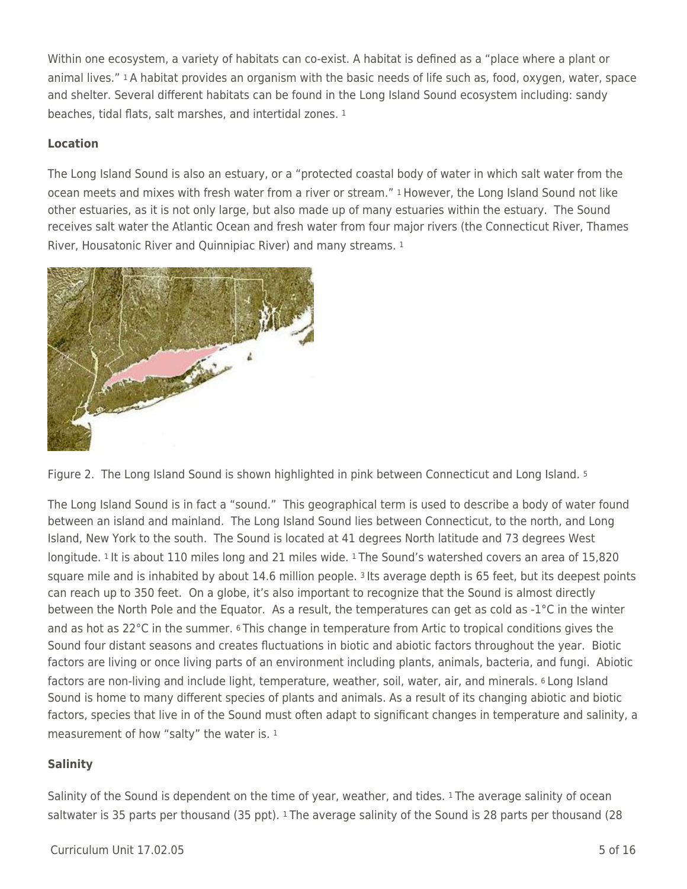Within one ecosystem, a variety of habitats can co-exist. A habitat is defined as a "place where a plant or animal lives." 1 A habitat provides an organism with the basic needs of life such as, food, oxygen, water, space and shelter. Several different habitats can be found in the Long Island Sound ecosystem including: sandy beaches, tidal flats, salt marshes, and intertidal zones. 1

### **Location**

The Long Island Sound is also an estuary, or a "protected coastal body of water in which salt water from the ocean meets and mixes with fresh water from a river or stream." 1 However, the Long Island Sound not like other estuaries, as it is not only large, but also made up of many estuaries within the estuary. The Sound receives salt water the Atlantic Ocean and fresh water from four major rivers (the Connecticut River, Thames River, Housatonic River and Quinnipiac River) and many streams. <sup>1</sup>



Figure 2. The Long Island Sound is shown highlighted in pink between Connecticut and Long Island. <sup>5</sup>

The Long Island Sound is in fact a "sound." This geographical term is used to describe a body of water found between an island and mainland. The Long Island Sound lies between Connecticut, to the north, and Long Island, New York to the south. The Sound is located at 41 degrees North latitude and 73 degrees West longitude. 1 It is about 110 miles long and 21 miles wide. 1 The Sound's watershed covers an area of 15,820 square mile and is inhabited by about 14.6 million people. 3 Its average depth is 65 feet, but its deepest points can reach up to 350 feet. On a globe, it's also important to recognize that the Sound is almost directly between the North Pole and the Equator. As a result, the temperatures can get as cold as -1°C in the winter and as hot as 22°C in the summer. 6 This change in temperature from Artic to tropical conditions gives the Sound four distant seasons and creates fluctuations in biotic and abiotic factors throughout the year. Biotic factors are living or once living parts of an environment including plants, animals, bacteria, and fungi. Abiotic factors are non-living and include light, temperature, weather, soil, water, air, and minerals. 6 Long Island Sound is home to many different species of plants and animals. As a result of its changing abiotic and biotic factors, species that live in of the Sound must often adapt to significant changes in temperature and salinity, a measurement of how "salty" the water is. 1

## **Salinity**

Salinity of the Sound is dependent on the time of year, weather, and tides. 1 The average salinity of ocean saltwater is 35 parts per thousand (35 ppt). 1 The average salinity of the Sound is 28 parts per thousand (28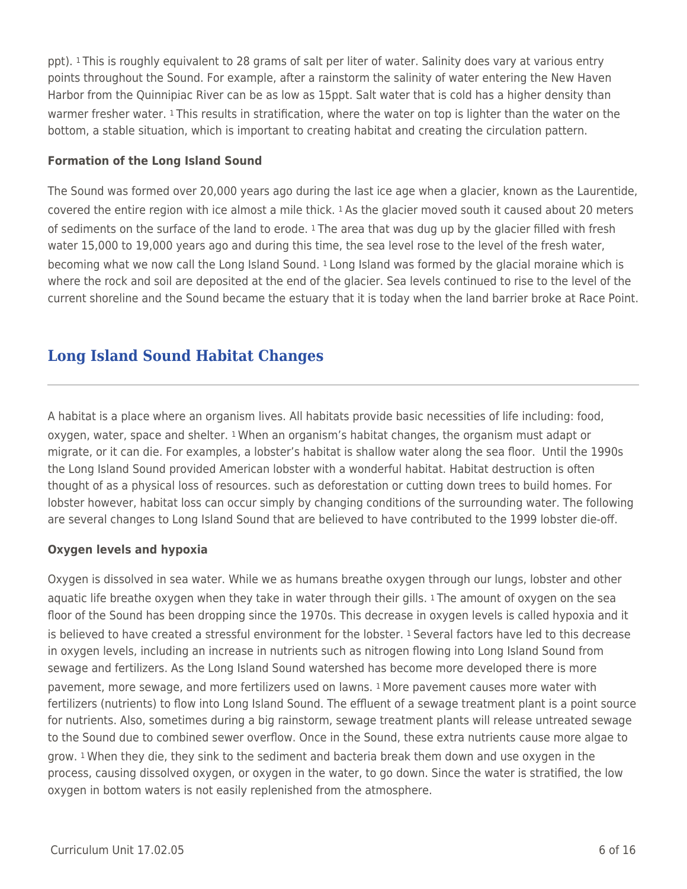ppt). 1 This is roughly equivalent to 28 grams of salt per liter of water. Salinity does vary at various entry points throughout the Sound. For example, after a rainstorm the salinity of water entering the New Haven Harbor from the Quinnipiac River can be as low as 15ppt. Salt water that is cold has a higher density than warmer fresher water. 1 This results in stratification, where the water on top is lighter than the water on the bottom, a stable situation, which is important to creating habitat and creating the circulation pattern.

### **Formation of the Long Island Sound**

The Sound was formed over 20,000 years ago during the last ice age when a glacier, known as the Laurentide, covered the entire region with ice almost a mile thick. 1 As the glacier moved south it caused about 20 meters of sediments on the surface of the land to erode. 1 The area that was dug up by the glacier filled with fresh water 15,000 to 19,000 years ago and during this time, the sea level rose to the level of the fresh water, becoming what we now call the Long Island Sound. 1 Long Island was formed by the glacial moraine which is where the rock and soil are deposited at the end of the glacier. Sea levels continued to rise to the level of the current shoreline and the Sound became the estuary that it is today when the land barrier broke at Race Point.

# **Long Island Sound Habitat Changes**

A habitat is a place where an organism lives. All habitats provide basic necessities of life including: food, oxygen, water, space and shelter. 1 When an organism's habitat changes, the organism must adapt or migrate, or it can die. For examples, a lobster's habitat is shallow water along the sea floor. Until the 1990s the Long Island Sound provided American lobster with a wonderful habitat. Habitat destruction is often thought of as a physical loss of resources. such as deforestation or cutting down trees to build homes. For lobster however, habitat loss can occur simply by changing conditions of the surrounding water. The following are several changes to Long Island Sound that are believed to have contributed to the 1999 lobster die-off.

### **Oxygen levels and hypoxia**

Oxygen is dissolved in sea water. While we as humans breathe oxygen through our lungs, lobster and other aquatic life breathe oxygen when they take in water through their gills. 1 The amount of oxygen on the sea floor of the Sound has been dropping since the 1970s. This decrease in oxygen levels is called hypoxia and it is believed to have created a stressful environment for the lobster. 1 Several factors have led to this decrease in oxygen levels, including an increase in nutrients such as nitrogen flowing into Long Island Sound from sewage and fertilizers. As the Long Island Sound watershed has become more developed there is more pavement, more sewage, and more fertilizers used on lawns. 1 More pavement causes more water with fertilizers (nutrients) to flow into Long Island Sound. The effluent of a sewage treatment plant is a point source for nutrients. Also, sometimes during a big rainstorm, sewage treatment plants will release untreated sewage to the Sound due to combined sewer overflow. Once in the Sound, these extra nutrients cause more algae to grow. 1 When they die, they sink to the sediment and bacteria break them down and use oxygen in the process, causing dissolved oxygen, or oxygen in the water, to go down. Since the water is stratified, the low oxygen in bottom waters is not easily replenished from the atmosphere.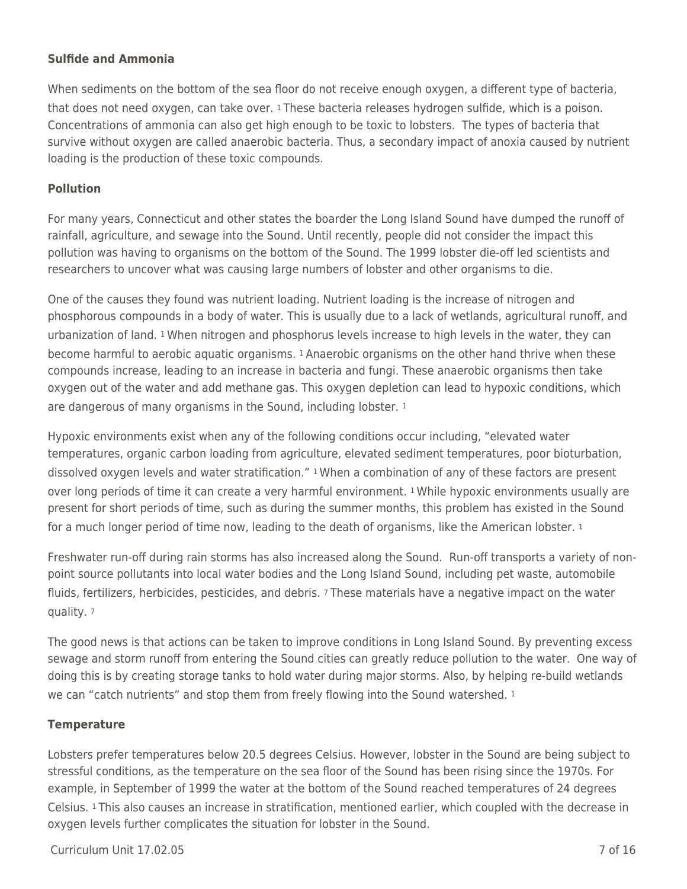#### **Sulfide and Ammonia**

When sediments on the bottom of the sea floor do not receive enough oxygen, a different type of bacteria, that does not need oxygen, can take over. 1 These bacteria releases hydrogen sulfide, which is a poison. Concentrations of ammonia can also get high enough to be toxic to lobsters. The types of bacteria that survive without oxygen are called anaerobic bacteria. Thus, a secondary impact of anoxia caused by nutrient loading is the production of these toxic compounds.

#### **Pollution**

For many years, Connecticut and other states the boarder the Long Island Sound have dumped the runoff of rainfall, agriculture, and sewage into the Sound. Until recently, people did not consider the impact this pollution was having to organisms on the bottom of the Sound. The 1999 lobster die-off led scientists and researchers to uncover what was causing large numbers of lobster and other organisms to die.

One of the causes they found was nutrient loading. Nutrient loading is the increase of nitrogen and phosphorous compounds in a body of water. This is usually due to a lack of wetlands, agricultural runoff, and urbanization of land. 1 When nitrogen and phosphorus levels increase to high levels in the water, they can become harmful to aerobic aquatic organisms. 1 Anaerobic organisms on the other hand thrive when these compounds increase, leading to an increase in bacteria and fungi. These anaerobic organisms then take oxygen out of the water and add methane gas. This oxygen depletion can lead to hypoxic conditions, which are dangerous of many organisms in the Sound, including lobster. 1

Hypoxic environments exist when any of the following conditions occur including, "elevated water temperatures, organic carbon loading from agriculture, elevated sediment temperatures, poor bioturbation, dissolved oxygen levels and water stratification." 1 When a combination of any of these factors are present over long periods of time it can create a very harmful environment. 1 While hypoxic environments usually are present for short periods of time, such as during the summer months, this problem has existed in the Sound for a much longer period of time now, leading to the death of organisms, like the American lobster. 1

Freshwater run-off during rain storms has also increased along the Sound. Run-off transports a variety of nonpoint source pollutants into local water bodies and the Long Island Sound, including pet waste, automobile fluids, fertilizers, herbicides, pesticides, and debris. 7 These materials have a negative impact on the water quality. <sup>7</sup>

The good news is that actions can be taken to improve conditions in Long Island Sound. By preventing excess sewage and storm runoff from entering the Sound cities can greatly reduce pollution to the water. One way of doing this is by creating storage tanks to hold water during major storms. Also, by helping re-build wetlands we can "catch nutrients" and stop them from freely flowing into the Sound watershed. 1

#### **Temperature**

Lobsters prefer temperatures below 20.5 degrees Celsius. However, lobster in the Sound are being subject to stressful conditions, as the temperature on the sea floor of the Sound has been rising since the 1970s. For example, in September of 1999 the water at the bottom of the Sound reached temperatures of 24 degrees Celsius. 1 This also causes an increase in stratification, mentioned earlier, which coupled with the decrease in oxygen levels further complicates the situation for lobster in the Sound.

Curriculum Unit 17.02.05 7 of 16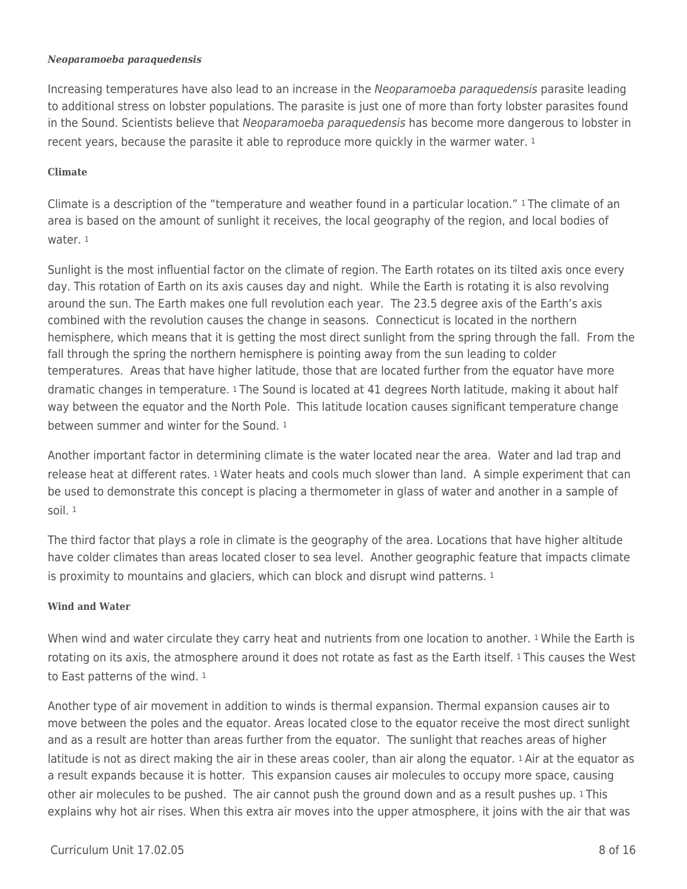#### *Neoparamoeba paraquedensis*

Increasing temperatures have also lead to an increase in the Neoparamoeba paraquedensis parasite leading to additional stress on lobster populations. The parasite is just one of more than forty lobster parasites found in the Sound. Scientists believe that Neoparamoeba paraquedensis has become more dangerous to lobster in recent years, because the parasite it able to reproduce more quickly in the warmer water. 1

#### **Climate**

Climate is a description of the "temperature and weather found in a particular location." 1 The climate of an area is based on the amount of sunlight it receives, the local geography of the region, and local bodies of water. 1

Sunlight is the most influential factor on the climate of region. The Earth rotates on its tilted axis once every day. This rotation of Earth on its axis causes day and night. While the Earth is rotating it is also revolving around the sun. The Earth makes one full revolution each year. The 23.5 degree axis of the Earth's axis combined with the revolution causes the change in seasons. Connecticut is located in the northern hemisphere, which means that it is getting the most direct sunlight from the spring through the fall. From the fall through the spring the northern hemisphere is pointing away from the sun leading to colder temperatures. Areas that have higher latitude, those that are located further from the equator have more dramatic changes in temperature. 1 The Sound is located at 41 degrees North latitude, making it about half way between the equator and the North Pole. This latitude location causes significant temperature change between summer and winter for the Sound. 1

Another important factor in determining climate is the water located near the area. Water and lad trap and release heat at different rates. 1 Water heats and cools much slower than land. A simple experiment that can be used to demonstrate this concept is placing a thermometer in glass of water and another in a sample of soil. <sup>1</sup>

The third factor that plays a role in climate is the geography of the area. Locations that have higher altitude have colder climates than areas located closer to sea level. Another geographic feature that impacts climate is proximity to mountains and glaciers, which can block and disrupt wind patterns.  $1$ 

### **Wind and Water**

When wind and water circulate they carry heat and nutrients from one location to another. 1 While the Earth is rotating on its axis, the atmosphere around it does not rotate as fast as the Earth itself. 1 This causes the West to East patterns of the wind. <sup>1</sup>

Another type of air movement in addition to winds is thermal expansion. Thermal expansion causes air to move between the poles and the equator. Areas located close to the equator receive the most direct sunlight and as a result are hotter than areas further from the equator. The sunlight that reaches areas of higher latitude is not as direct making the air in these areas cooler, than air along the equator. 1 Air at the equator as a result expands because it is hotter. This expansion causes air molecules to occupy more space, causing other air molecules to be pushed. The air cannot push the ground down and as a result pushes up. 1 This explains why hot air rises. When this extra air moves into the upper atmosphere, it joins with the air that was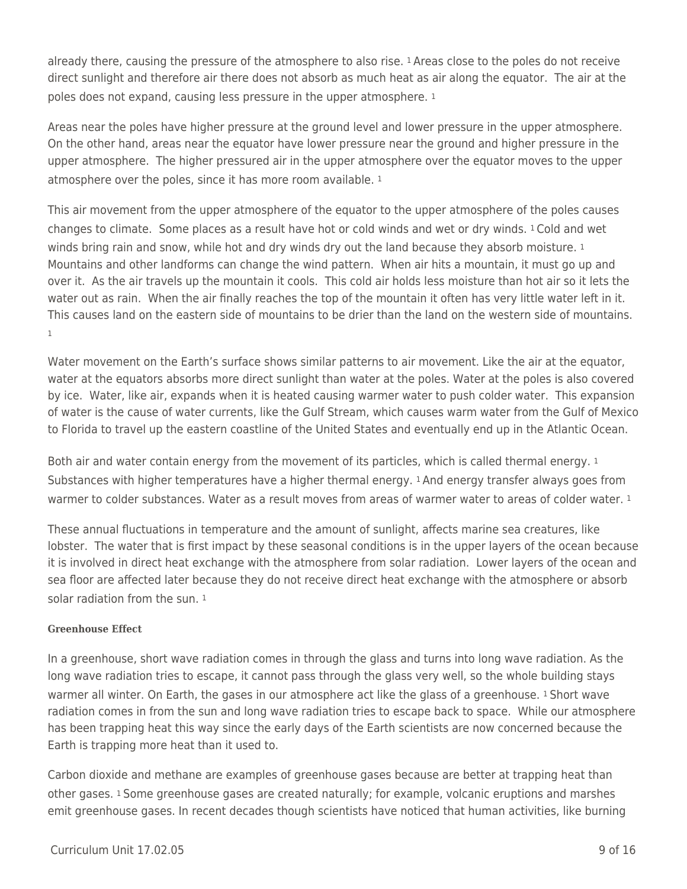already there, causing the pressure of the atmosphere to also rise. 1 Areas close to the poles do not receive direct sunlight and therefore air there does not absorb as much heat as air along the equator. The air at the poles does not expand, causing less pressure in the upper atmosphere. <sup>1</sup>

Areas near the poles have higher pressure at the ground level and lower pressure in the upper atmosphere. On the other hand, areas near the equator have lower pressure near the ground and higher pressure in the upper atmosphere. The higher pressured air in the upper atmosphere over the equator moves to the upper atmosphere over the poles, since it has more room available.<sup>1</sup>

This air movement from the upper atmosphere of the equator to the upper atmosphere of the poles causes changes to climate. Some places as a result have hot or cold winds and wet or dry winds. 1 Cold and wet winds bring rain and snow, while hot and dry winds dry out the land because they absorb moisture. 1 Mountains and other landforms can change the wind pattern. When air hits a mountain, it must go up and over it. As the air travels up the mountain it cools. This cold air holds less moisture than hot air so it lets the water out as rain. When the air finally reaches the top of the mountain it often has very little water left in it. This causes land on the eastern side of mountains to be drier than the land on the western side of mountains. 1

Water movement on the Earth's surface shows similar patterns to air movement. Like the air at the equator, water at the equators absorbs more direct sunlight than water at the poles. Water at the poles is also covered by ice. Water, like air, expands when it is heated causing warmer water to push colder water. This expansion of water is the cause of water currents, like the Gulf Stream, which causes warm water from the Gulf of Mexico to Florida to travel up the eastern coastline of the United States and eventually end up in the Atlantic Ocean.

Both air and water contain energy from the movement of its particles, which is called thermal energy. 1 Substances with higher temperatures have a higher thermal energy. 1 And energy transfer always goes from warmer to colder substances. Water as a result moves from areas of warmer water to areas of colder water. 1

These annual fluctuations in temperature and the amount of sunlight, affects marine sea creatures, like lobster. The water that is first impact by these seasonal conditions is in the upper layers of the ocean because it is involved in direct heat exchange with the atmosphere from solar radiation. Lower layers of the ocean and sea floor are affected later because they do not receive direct heat exchange with the atmosphere or absorb solar radiation from the sun. <sup>1</sup>

### **Greenhouse Effect**

In a greenhouse, short wave radiation comes in through the glass and turns into long wave radiation. As the long wave radiation tries to escape, it cannot pass through the glass very well, so the whole building stays warmer all winter. On Earth, the gases in our atmosphere act like the glass of a greenhouse. 1 Short wave radiation comes in from the sun and long wave radiation tries to escape back to space. While our atmosphere has been trapping heat this way since the early days of the Earth scientists are now concerned because the Earth is trapping more heat than it used to.

Carbon dioxide and methane are examples of greenhouse gases because are better at trapping heat than other gases. 1 Some greenhouse gases are created naturally; for example, volcanic eruptions and marshes emit greenhouse gases. In recent decades though scientists have noticed that human activities, like burning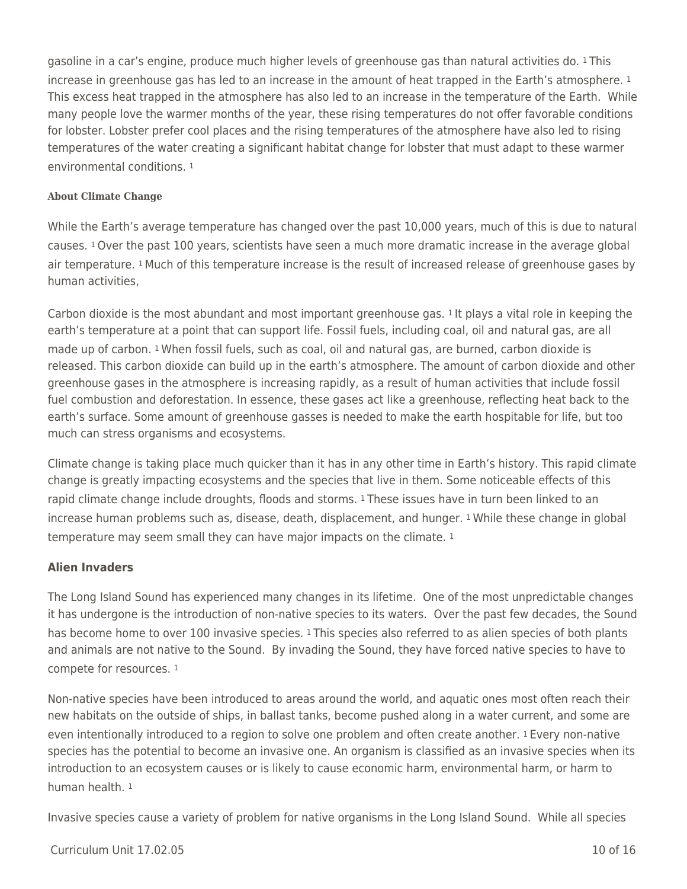gasoline in a car's engine, produce much higher levels of greenhouse gas than natural activities do. 1 This increase in greenhouse gas has led to an increase in the amount of heat trapped in the Earth's atmosphere. <sup>1</sup> This excess heat trapped in the atmosphere has also led to an increase in the temperature of the Earth. While many people love the warmer months of the year, these rising temperatures do not offer favorable conditions for lobster. Lobster prefer cool places and the rising temperatures of the atmosphere have also led to rising temperatures of the water creating a significant habitat change for lobster that must adapt to these warmer environmental conditions. <sup>1</sup>

#### **About Climate Change**

While the Earth's average temperature has changed over the past 10,000 years, much of this is due to natural causes. 1 Over the past 100 years, scientists have seen a much more dramatic increase in the average global air temperature. 1 Much of this temperature increase is the result of increased release of greenhouse gases by human activities,

Carbon dioxide is the most abundant and most important greenhouse gas. 1 It plays a vital role in keeping the earth's temperature at a point that can support life. Fossil fuels, including coal, oil and natural gas, are all made up of carbon. 1 When fossil fuels, such as coal, oil and natural gas, are burned, carbon dioxide is released. This carbon dioxide can build up in the earth's atmosphere. The amount of carbon dioxide and other greenhouse gases in the atmosphere is increasing rapidly, as a result of human activities that include fossil fuel combustion and deforestation. In essence, these gases act like a greenhouse, reflecting heat back to the earth's surface. Some amount of greenhouse gasses is needed to make the earth hospitable for life, but too much can stress organisms and ecosystems.

Climate change is taking place much quicker than it has in any other time in Earth's history. This rapid climate change is greatly impacting ecosystems and the species that live in them. Some noticeable effects of this rapid climate change include droughts, floods and storms. 1 These issues have in turn been linked to an increase human problems such as, disease, death, displacement, and hunger. 1 While these change in global temperature may seem small they can have major impacts on the climate. <sup>1</sup>

#### **Alien Invaders**

The Long Island Sound has experienced many changes in its lifetime. One of the most unpredictable changes it has undergone is the introduction of non-native species to its waters. Over the past few decades, the Sound has become home to over 100 invasive species. <sup>1</sup> This species also referred to as alien species of both plants and animals are not native to the Sound. By invading the Sound, they have forced native species to have to compete for resources. <sup>1</sup>

Non-native species have been introduced to areas around the world, and aquatic ones most often reach their new habitats on the outside of ships, in ballast tanks, become pushed along in a water current, and some are even intentionally introduced to a region to solve one problem and often create another. 1 Every non-native species has the potential to become an invasive one. An organism is classified as an invasive species when its introduction to an ecosystem causes or is likely to cause economic harm, environmental harm, or harm to human health. <sup>1</sup>

Invasive species cause a variety of problem for native organisms in the Long Island Sound. While all species

#### Curriculum Unit 17.02.05 10 of 16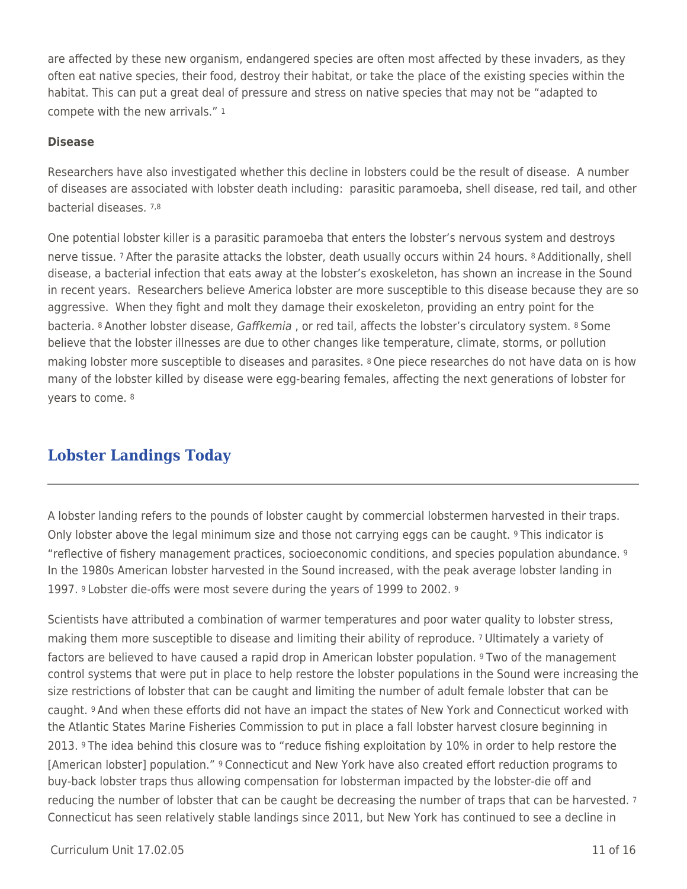are affected by these new organism, endangered species are often most affected by these invaders, as they often eat native species, their food, destroy their habitat, or take the place of the existing species within the habitat. This can put a great deal of pressure and stress on native species that may not be "adapted to compete with the new arrivals." <sup>1</sup>

### **Disease**

Researchers have also investigated whether this decline in lobsters could be the result of disease. A number of diseases are associated with lobster death including: parasitic paramoeba, shell disease, red tail, and other bacterial diseases. 7,8

One potential lobster killer is a parasitic paramoeba that enters the lobster's nervous system and destroys nerve tissue. 7 After the parasite attacks the lobster, death usually occurs within 24 hours. 8 Additionally, shell disease, a bacterial infection that eats away at the lobster's exoskeleton, has shown an increase in the Sound in recent years. Researchers believe America lobster are more susceptible to this disease because they are so aggressive. When they fight and molt they damage their exoskeleton, providing an entry point for the bacteria. 8 Another lobster disease, Gaffkemia, or red tail, affects the lobster's circulatory system. 8 Some believe that the lobster illnesses are due to other changes like temperature, climate, storms, or pollution making lobster more susceptible to diseases and parasites. 8 One piece researches do not have data on is how many of the lobster killed by disease were egg-bearing females, affecting the next generations of lobster for years to come. <sup>8</sup>

# **Lobster Landings Today**

A lobster landing refers to the pounds of lobster caught by commercial lobstermen harvested in their traps. Only lobster above the legal minimum size and those not carrying eggs can be caught. *I* This indicator is "reflective of fishery management practices, socioeconomic conditions, and species population abundance. <sup>9</sup> In the 1980s American lobster harvested in the Sound increased, with the peak average lobster landing in 1997. 9 Lobster die-offs were most severe during the years of 1999 to 2002. <sup>9</sup>

Scientists have attributed a combination of warmer temperatures and poor water quality to lobster stress, making them more susceptible to disease and limiting their ability of reproduce. 7 Ultimately a variety of factors are believed to have caused a rapid drop in American lobster population. <sup>9</sup> Two of the management control systems that were put in place to help restore the lobster populations in the Sound were increasing the size restrictions of lobster that can be caught and limiting the number of adult female lobster that can be caught. 9 And when these efforts did not have an impact the states of New York and Connecticut worked with the Atlantic States Marine Fisheries Commission to put in place a fall lobster harvest closure beginning in 2013. 9 The idea behind this closure was to "reduce fishing exploitation by 10% in order to help restore the [American lobster] population." 9 Connecticut and New York have also created effort reduction programs to buy-back lobster traps thus allowing compensation for lobsterman impacted by the lobster-die off and reducing the number of lobster that can be caught be decreasing the number of traps that can be harvested. <sup>7</sup> Connecticut has seen relatively stable landings since 2011, but New York has continued to see a decline in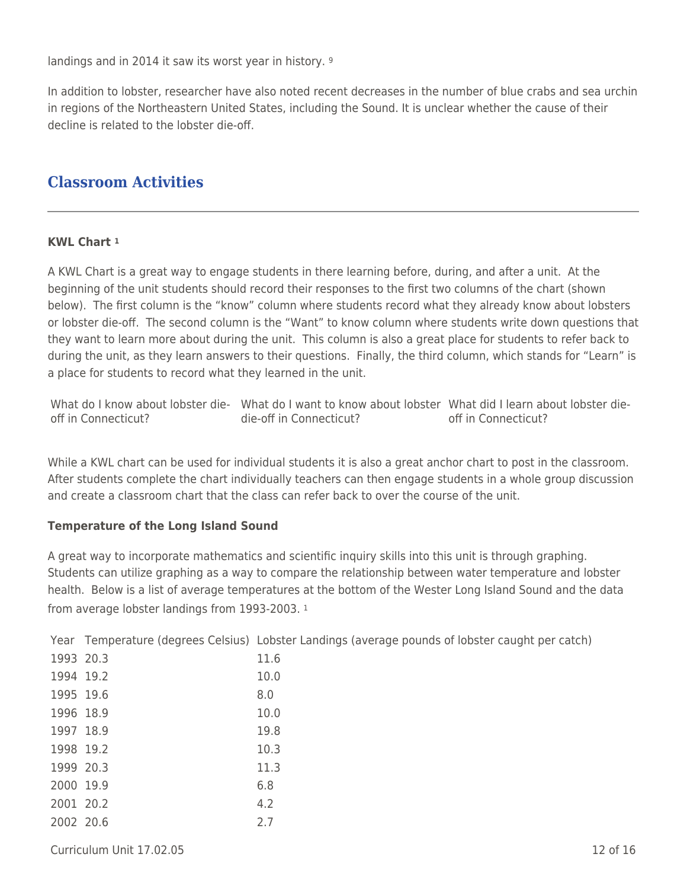landings and in 2014 it saw its worst year in history. <sup>9</sup>

In addition to lobster, researcher have also noted recent decreases in the number of blue crabs and sea urchin in regions of the Northeastern United States, including the Sound. It is unclear whether the cause of their decline is related to the lobster die-off.

# **Classroom Activities**

#### **KWL Chart <sup>1</sup>**

A KWL Chart is a great way to engage students in there learning before, during, and after a unit. At the beginning of the unit students should record their responses to the first two columns of the chart (shown below). The first column is the "know" column where students record what they already know about lobsters or lobster die-off. The second column is the "Want" to know column where students write down questions that they want to learn more about during the unit. This column is also a great place for students to refer back to during the unit, as they learn answers to their questions. Finally, the third column, which stands for "Learn" is a place for students to record what they learned in the unit.

What do I know about lobster die- What do I want to know about lobster What did I learn about lobster dieoff in Connecticut? die-off in Connecticut? off in Connecticut?

While a KWL chart can be used for individual students it is also a great anchor chart to post in the classroom. After students complete the chart individually teachers can then engage students in a whole group discussion and create a classroom chart that the class can refer back to over the course of the unit.

#### **Temperature of the Long Island Sound**

A great way to incorporate mathematics and scientific inquiry skills into this unit is through graphing. Students can utilize graphing as a way to compare the relationship between water temperature and lobster health. Below is a list of average temperatures at the bottom of the Wester Long Island Sound and the data from average lobster landings from 1993-2003. <sup>1</sup>

Year Temperature (degrees Celsius) Lobster Landings (average pounds of lobster caught per catch)

| 11.6                                                                                                                           |
|--------------------------------------------------------------------------------------------------------------------------------|
| 10.0                                                                                                                           |
| 8.0                                                                                                                            |
| 10.0                                                                                                                           |
| 19.8                                                                                                                           |
| 10.3                                                                                                                           |
| 11.3                                                                                                                           |
| 6.8                                                                                                                            |
| 4.2                                                                                                                            |
| 2.7                                                                                                                            |
| 1993 20.3<br>1994 19.2<br>1995 19.6<br>1996 18.9<br>1997 18.9<br>1998 19.2<br>1999 20.3<br>2000 19.9<br>2001 20.2<br>2002 20.6 |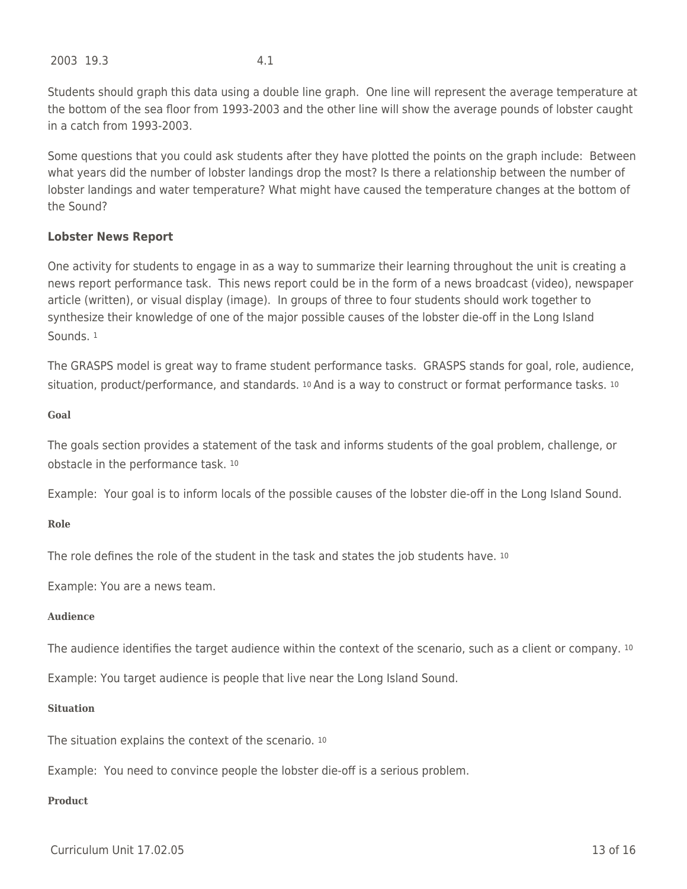2003 19.3 4.1

Students should graph this data using a double line graph. One line will represent the average temperature at the bottom of the sea floor from 1993-2003 and the other line will show the average pounds of lobster caught in a catch from 1993-2003.

Some questions that you could ask students after they have plotted the points on the graph include: Between what years did the number of lobster landings drop the most? Is there a relationship between the number of lobster landings and water temperature? What might have caused the temperature changes at the bottom of the Sound?

#### **Lobster News Report**

One activity for students to engage in as a way to summarize their learning throughout the unit is creating a news report performance task. This news report could be in the form of a news broadcast (video), newspaper article (written), or visual display (image). In groups of three to four students should work together to synthesize their knowledge of one of the major possible causes of the lobster die-off in the Long Island Sounds. <sup>1</sup>

The GRASPS model is great way to frame student performance tasks. GRASPS stands for goal, role, audience, situation, product/performance, and standards. <sup>10</sup> And is a way to construct or format performance tasks. <sup>10</sup>

**Goal**

The goals section provides a statement of the task and informs students of the goal problem, challenge, or obstacle in the performance task. <sup>10</sup>

Example: Your goal is to inform locals of the possible causes of the lobster die-off in the Long Island Sound.

#### **Role**

The role defines the role of the student in the task and states the job students have. <sup>10</sup>

Example: You are a news team.

#### **Audience**

The audience identifies the target audience within the context of the scenario, such as a client or company. <sup>10</sup>

Example: You target audience is people that live near the Long Island Sound.

#### **Situation**

The situation explains the context of the scenario. <sup>10</sup>

Example: You need to convince people the lobster die-off is a serious problem.

### **Product**

Curriculum Unit 17.02.05 13 of 16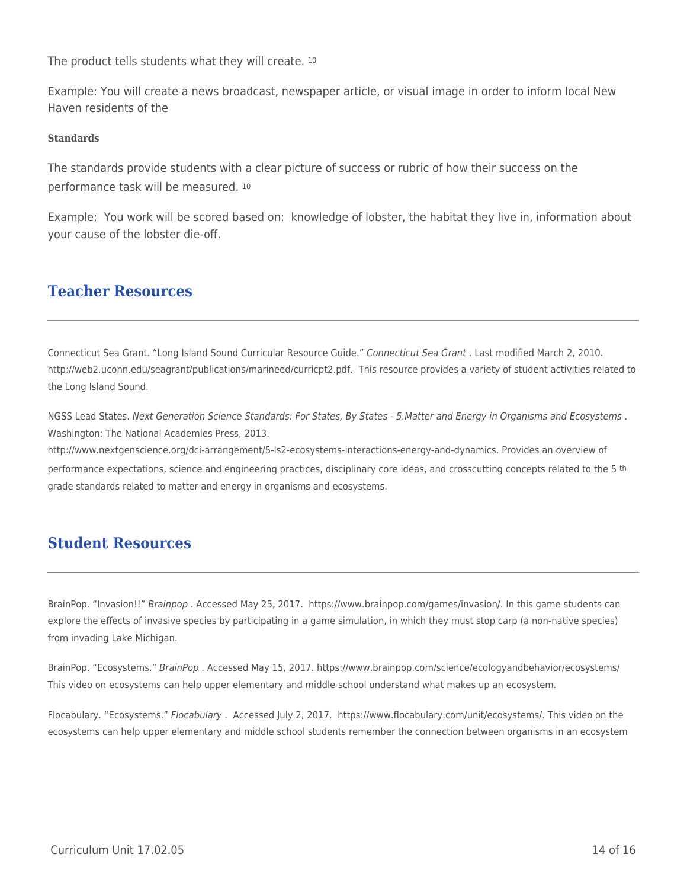The product tells students what they will create. <sup>10</sup>

Example: You will create a news broadcast, newspaper article, or visual image in order to inform local New Haven residents of the

#### **Standards**

The standards provide students with a clear picture of success or rubric of how their success on the performance task will be measured. <sup>10</sup>

Example: You work will be scored based on: knowledge of lobster, the habitat they live in, information about your cause of the lobster die-off.

## **Teacher Resources**

Connecticut Sea Grant. "Long Island Sound Curricular Resource Guide." Connecticut Sea Grant . Last modified March 2, 2010. http://web2.uconn.edu/seagrant/publications/marineed/curricpt2.pdf. This resource provides a variety of student activities related to the Long Island Sound.

NGSS Lead States. Next Generation Science Standards: For States, By States - 5.Matter and Energy in Organisms and Ecosystems . Washington: The National Academies Press, 2013.

http://www.nextgenscience.org/dci-arrangement/5-ls2-ecosystems-interactions-energy-and-dynamics. Provides an overview of performance expectations, science and engineering practices, disciplinary core ideas, and crosscutting concepts related to the 5 <sup>th</sup> grade standards related to matter and energy in organisms and ecosystems.

# **Student Resources**

BrainPop. "Invasion!!" Brainpop . Accessed May 25, 2017. https://www.brainpop.com/games/invasion/. In this game students can explore the effects of invasive species by participating in a game simulation, in which they must stop carp (a non-native species) from invading Lake Michigan.

BrainPop. "Ecosystems." BrainPop . Accessed May 15, 2017. https://www.brainpop.com/science/ecologyandbehavior/ecosystems/ This video on ecosystems can help upper elementary and middle school understand what makes up an ecosystem.

Flocabulary. "Ecosystems." Flocabulary . Accessed July 2, 2017. https://www.flocabulary.com/unit/ecosystems/. This video on the ecosystems can help upper elementary and middle school students remember the connection between organisms in an ecosystem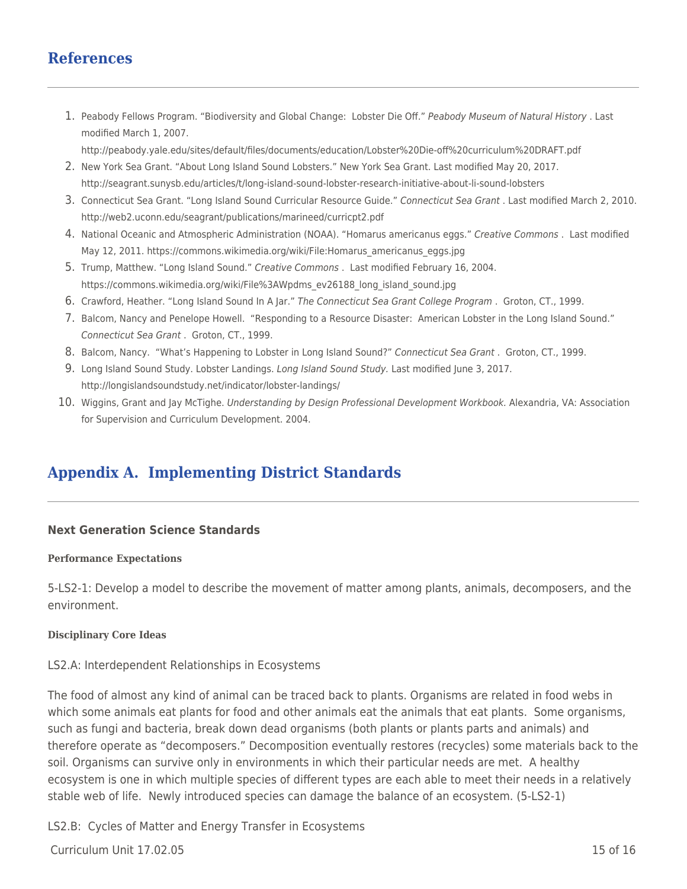# **References**

1. Peabody Fellows Program. "Biodiversity and Global Change: Lobster Die Off." Peabody Museum of Natural History . Last modified March 1, 2007.

http://peabody.yale.edu/sites/default/files/documents/education/Lobster%20Die-off%20curriculum%20DRAFT.pdf

- 2. New York Sea Grant. "About Long Island Sound Lobsters." New York Sea Grant. Last modified May 20, 2017. http://seagrant.sunysb.edu/articles/t/long-island-sound-lobster-research-initiative-about-li-sound-lobsters
- 3. Connecticut Sea Grant. "Long Island Sound Curricular Resource Guide." Connecticut Sea Grant . Last modified March 2, 2010. http://web2.uconn.edu/seagrant/publications/marineed/curricpt2.pdf
- 4. National Oceanic and Atmospheric Administration (NOAA). "Homarus americanus eggs." Creative Commons . Last modified May 12, 2011. https://commons.wikimedia.org/wiki/File:Homarus\_americanus\_eggs.jpg
- 5. Trump, Matthew. "Long Island Sound." Creative Commons . Last modified February 16, 2004. https://commons.wikimedia.org/wiki/File%3AWpdms\_ev26188\_long\_island\_sound.jpg
- 6. Crawford, Heather. "Long Island Sound In A Jar." The Connecticut Sea Grant College Program . Groton, CT., 1999.
- 7. Balcom, Nancy and Penelope Howell. "Responding to a Resource Disaster: American Lobster in the Long Island Sound." Connecticut Sea Grant . Groton, CT., 1999.
- 8. Balcom, Nancy. "What's Happening to Lobster in Long Island Sound?" Connecticut Sea Grant. Groton, CT., 1999.
- 9. Long Island Sound Study. Lobster Landings. Long Island Sound Study. Last modified June 3, 2017. http://longislandsoundstudy.net/indicator/lobster-landings/
- 10. Wiggins, Grant and Jay McTighe. Understanding by Design Professional Development Workbook. Alexandria, VA: Association for Supervision and Curriculum Development. 2004.

# **Appendix A. Implementing District Standards**

#### **Next Generation Science Standards**

#### **Performance Expectations**

5-LS2-1: Develop a model to describe the movement of matter among plants, animals, decomposers, and the environment.

#### **Disciplinary Core Ideas**

#### LS2.A: Interdependent Relationships in Ecosystems

The food of almost any kind of animal can be traced back to plants. Organisms are related in food webs in which some animals eat plants for food and other animals eat the animals that eat plants. Some organisms, such as fungi and bacteria, break down dead organisms (both plants or plants parts and animals) and therefore operate as "decomposers." Decomposition eventually restores (recycles) some materials back to the soil. Organisms can survive only in environments in which their particular needs are met. A healthy ecosystem is one in which multiple species of different types are each able to meet their needs in a relatively stable web of life. Newly introduced species can damage the balance of an ecosystem. (5-LS2-1)

LS2.B: Cycles of Matter and Energy Transfer in Ecosystems